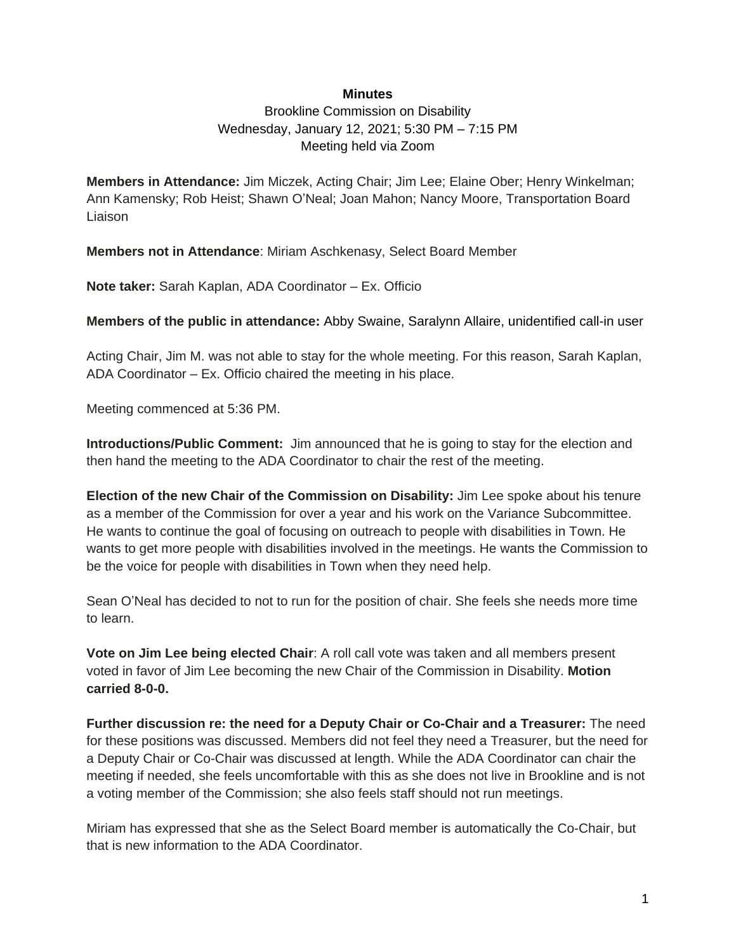#### **Minutes**

Brookline Commission on Disability Wednesday, January 12, 2021; 5:30 PM – 7:15 PM Meeting held via Zoom

**Members in Attendance:** Jim Miczek, Acting Chair; Jim Lee; Elaine Ober; Henry Winkelman; Ann Kamensky; Rob Heist; Shawn O'Neal; Joan Mahon; Nancy Moore, Transportation Board Liaison

**Members not in Attendance**: Miriam Aschkenasy, Select Board Member

**Note taker:** Sarah Kaplan, ADA Coordinator – Ex. Officio

**Members of the public in attendance:** Abby Swaine, Saralynn Allaire, unidentified call-in user

Acting Chair, Jim M. was not able to stay for the whole meeting. For this reason, Sarah Kaplan, ADA Coordinator – Ex. Officio chaired the meeting in his place.

Meeting commenced at 5:36 PM.

**Introductions/Public Comment:** Jim announced that he is going to stay for the election and then hand the meeting to the ADA Coordinator to chair the rest of the meeting.

**Election of the new Chair of the Commission on Disability:** Jim Lee spoke about his tenure as a member of the Commission for over a year and his work on the Variance Subcommittee. He wants to continue the goal of focusing on outreach to people with disabilities in Town. He wants to get more people with disabilities involved in the meetings. He wants the Commission to be the voice for people with disabilities in Town when they need help.

Sean O'Neal has decided to not to run for the position of chair. She feels she needs more time to learn.

**Vote on Jim Lee being elected Chair**: A roll call vote was taken and all members present voted in favor of Jim Lee becoming the new Chair of the Commission in Disability. **Motion carried 8-0-0.**

**Further discussion re: the need for a Deputy Chair or Co-Chair and a Treasurer:** The need for these positions was discussed. Members did not feel they need a Treasurer, but the need for a Deputy Chair or Co-Chair was discussed at length. While the ADA Coordinator can chair the meeting if needed, she feels uncomfortable with this as she does not live in Brookline and is not a voting member of the Commission; she also feels staff should not run meetings.

Miriam has expressed that she as the Select Board member is automatically the Co-Chair, but that is new information to the ADA Coordinator.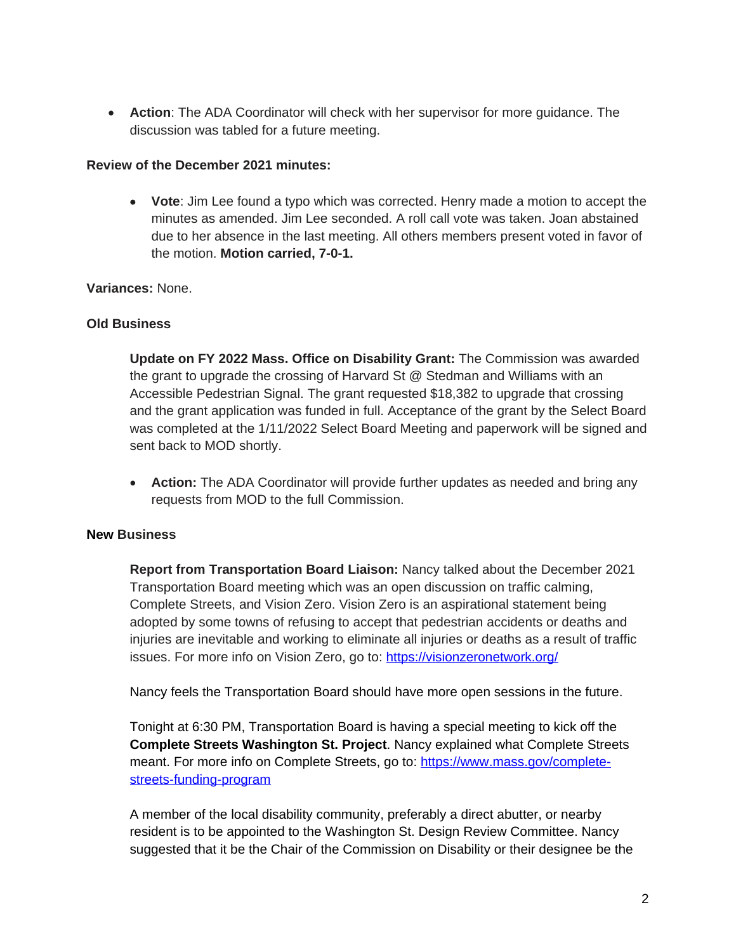**Action**: The ADA Coordinator will check with her supervisor for more guidance. The discussion was tabled for a future meeting.

#### **Review of the December 2021 minutes:**

 **Vote**: Jim Lee found a typo which was corrected. Henry made a motion to accept the minutes as amended. Jim Lee seconded. A roll call vote was taken. Joan abstained due to her absence in the last meeting. All others members present voted in favor of the motion. **Motion carried, 7-0-1.**

## **Variances:** None.

## **Old Business**

**Update on FY 2022 Mass. Office on Disability Grant:** The Commission was awarded the grant to upgrade the crossing of Harvard St @ Stedman and Williams with an Accessible Pedestrian Signal. The grant requested \$18,382 to upgrade that crossing and the grant application was funded in full. Acceptance of the grant by the Select Board was completed at the 1/11/2022 Select Board Meeting and paperwork will be signed and sent back to MOD shortly.

 **Action:** The ADA Coordinator will provide further updates as needed and bring any requests from MOD to the full Commission.

## **New Business**

**Report from Transportation Board Liaison:** Nancy talked about the December 2021 Transportation Board meeting which was an open discussion on traffic calming, Complete Streets, and Vision Zero. Vision Zero is an aspirational statement being adopted by some towns of refusing to accept that pedestrian accidents or deaths and injuries are inevitable and working to eliminate all injuries or deaths as a result of traffic issues. For more info on Vision Zero, go to:<https://visionzeronetwork.org/>

Nancy feels the Transportation Board should have more open sessions in the future.

Tonight at 6:30 PM, Transportation Board is having a special meeting to kick off the **Complete Streets Washington St. Project**. Nancy explained what Complete Streets meant. For more info on Complete Streets, go to: [https://www.mass.gov/complete](https://www.mass.gov/complete-streets-funding-program)streets-funding-program

A member of the local disability community, preferably a direct abutter, or nearby resident is to be appointed to the Washington St. Design Review Committee. Nancy suggested that it be the Chair of the Commission on Disability or their designee be the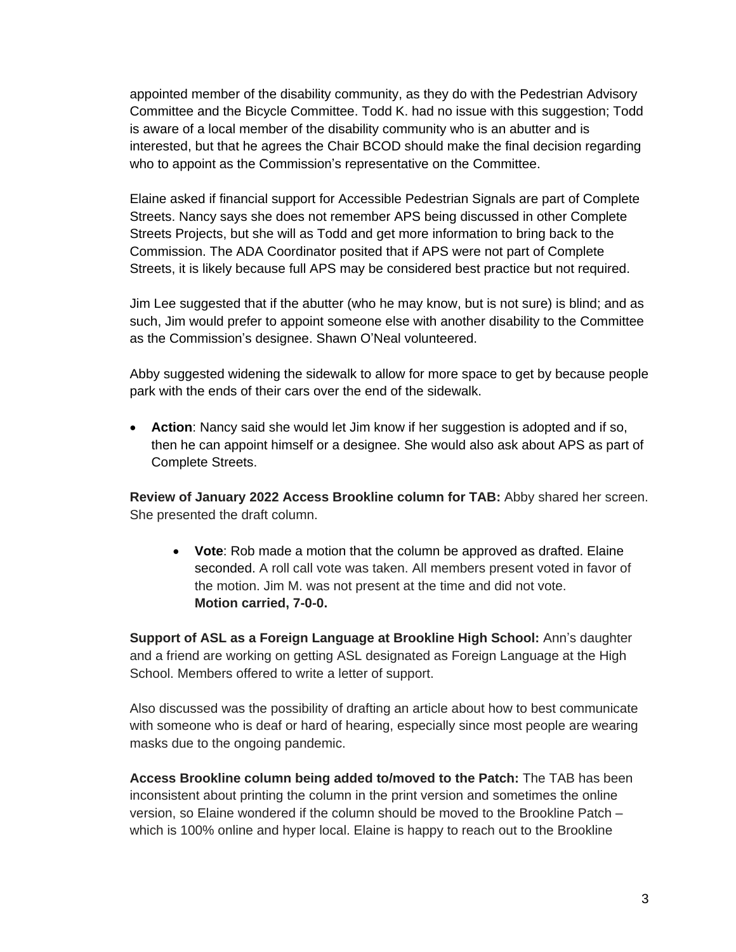appointed member of the disability community, as they do with the Pedestrian Advisory Committee and the Bicycle Committee. Todd K. had no issue with this suggestion; Todd is aware of a local member of the disability community who is an abutter and is interested, but that he agrees the Chair BCOD should make the final decision regarding who to appoint as the Commission's representative on the Committee.

Elaine asked if financial support for Accessible Pedestrian Signals are part of Complete Streets. Nancy says she does not remember APS being discussed in other Complete Streets Projects, but she will as Todd and get more information to bring back to the Commission. The ADA Coordinator posited that if APS were not part of Complete Streets, it is likely because full APS may be considered best practice but not required.

Jim Lee suggested that if the abutter (who he may know, but is not sure) is blind; and as such, Jim would prefer to appoint someone else with another disability to the Committee as the Commission's designee. Shawn O'Neal volunteered.

Abby suggested widening the sidewalk to allow for more space to get by because people park with the ends of their cars over the end of the sidewalk.

 **Action**: Nancy said she would let Jim know if her suggestion is adopted and if so, then he can appoint himself or a designee. She would also ask about APS as part of Complete Streets.

**Review of January 2022 Access Brookline column for TAB:** Abby shared her screen. She presented the draft column.

 **Vote**: Rob made a motion that the column be approved as drafted. Elaine seconded. A roll call vote was taken. All members present voted in favor of the motion. Jim M. was not present at the time and did not vote. **Motion carried, 7-0-0.**

**Support of ASL as a Foreign Language at Brookline High School:** Ann's daughter and a friend are working on getting ASL designated as Foreign Language at the High School. Members offered to write a letter of support.

Also discussed was the possibility of drafting an article about how to best communicate with someone who is deaf or hard of hearing, especially since most people are wearing masks due to the ongoing pandemic.

**Access Brookline column being added to/moved to the Patch:** The TAB has been inconsistent about printing the column in the print version and sometimes the online version, so Elaine wondered if the column should be moved to the Brookline Patch – which is 100% online and hyper local. Elaine is happy to reach out to the Brookline